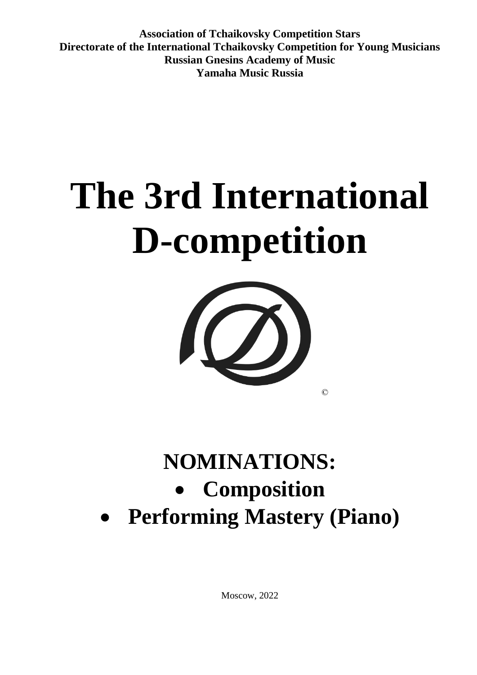**Association of Tchaikovsky Competition Stars Directorate of the International Tchaikovsky Competition for Young Musicians Russian Gnesins Academy of Music Yamaha Music Russia**

# **The 3rd International D-competition**



## **NOMINATIONS:**  • **Composition** • **Performing Mastery (Piano)**

Moscow, 2022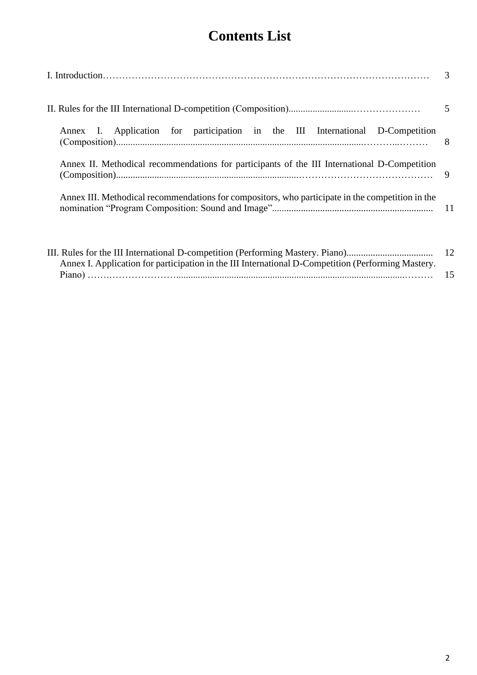### **Contents List**

|                                                                                                  | 5 |
|--------------------------------------------------------------------------------------------------|---|
| Annex I. Application for participation in the III International D-Competition                    |   |
| Annex II. Methodical recommendations for participants of the III International D-Competition     |   |
| Annex III. Methodical recommendations for compositors, who participate in the competition in the |   |
|                                                                                                  |   |

Annex I. Application for participation in the III International D-Competition (Performing Mastery. Piano) …….…………………...............................................................................................……… 15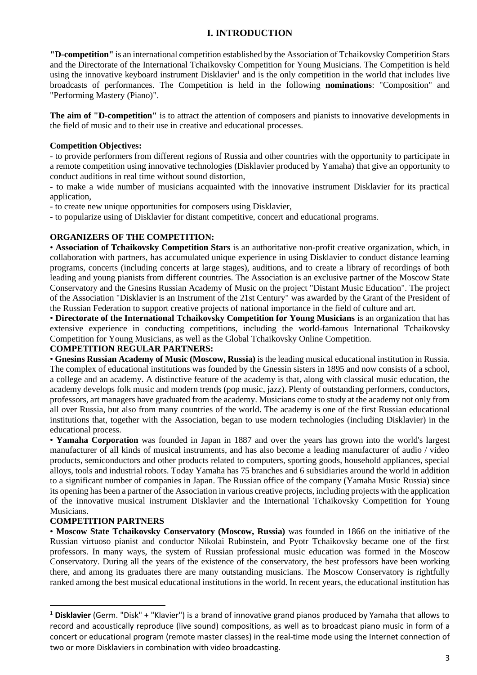#### **I. INTRODUCTION**

**"D-competition"** is an international competition established by the Association of Tchaikovsky Competition Stars and the Directorate of the International Tchaikovsky Competition for Young Musicians. The Competition is held using the innovative keyboard instrument Disklavier<sup>1</sup> and is the only competition in the world that includes live broadcasts of performances. The Competition is held in the following **nominations**: "Composition" and "Performing Mastery (Piano)".

**The aim of "D-competition"** is to attract the attention of composers and pianists to innovative developments in the field of music and to their use in creative and educational processes.

#### **Competition Objectives:**

- to provide performers from different regions of Russia and other countries with the opportunity to participate in a remote competition using innovative technologies (Disklavier produced by Yamaha) that give an opportunity to conduct auditions in real time without sound distortion,

- to make a wide number of musicians acquainted with the innovative instrument Disklavier for its practical application,

- to create new unique opportunities for composers using Disklavier,

- to popularize using of Disklavier for distant competitive, concert and educational programs.

#### **ORGANIZERS OF THE COMPETITION:**

• **Association of Tchaikovsky Competition Stars** is an authoritative non-profit creative organization, which, in collaboration with partners, has accumulated unique experience in using Disklavier to conduct distance learning programs, concerts (including concerts at large stages), auditions, and to create a library of recordings of both leading and young pianists from different countries. The Association is an exclusive partner of the Moscow State Conservatory and the Gnesins Russian Academy of Music on the project "Distant Music Education". The project of the Association "Disklavier is an Instrument of the 21st Century" was awarded by the Grant of the President of the Russian Federation to support creative projects of national importance in the field of culture and art.

• **Directorate of the International Tchaikovsky Competition for Young Musicians** is an organization that has extensive experience in conducting competitions, including the world-famous International Tchaikovsky Competition for Young Musicians, as well as the Global Tchaikovsky Online Competition.

#### **COMPETITION REGULAR PARTNERS:**

• **Gnesins Russian Academy of Music (Moscow, Russia)** is the leading musical educational institution in Russia. The complex of educational institutions was founded by the Gnessin sisters in 1895 and now consists of a school, a college and an academy. A distinctive feature of the academy is that, along with classical music education, the academy develops folk music and modern trends (pop music, jazz). Plenty of outstanding performers, conductors, professors, art managers have graduated from the academy. Musicians come to study at the academy not only from all over Russia, but also from many countries of the world. The academy is one of the first Russian educational institutions that, together with the Association, began to use modern technologies (including Disklavier) in the educational process.

• **Yamaha Corporation** was founded in Japan in 1887 and over the years has grown into the world's largest manufacturer of all kinds of musical instruments, and has also become a leading manufacturer of audio / video products, semiconductors and other products related to computers, sporting goods, household appliances, special alloys, tools and industrial robots. Today Yamaha has 75 branches and 6 subsidiaries around the world in addition to a significant number of companies in Japan. The Russian office of the company (Yamaha Music Russia) since its opening has been a partner of the Association in various creative projects, including projects with the application of the innovative musical instrument Disklavier and the International Tchaikovsky Competition for Young Musicians.

#### **COMPETITION PARTNERS**

• **Moscow State Tchaikovsky Conservatory (Moscow, Russia)** was founded in 1866 on the initiative of the Russian virtuoso pianist and conductor Nikolai Rubinstein, and Pyotr Tchaikovsky became one of the first professors. In many ways, the system of Russian professional music education was formed in the Moscow Conservatory. During all the years of the existence of the conservatory, the best professors have been working there, and among its graduates there are many outstanding musicians. The Moscow Conservatory is rightfully ranked among the best musical educational institutions in the world. In recent years, the educational institution has

<sup>1</sup> **Disklavier** (Germ. "Disk" + "Klavier") is a brand of innovative grand pianos produced by Yamaha that allows to record and acoustically reproduce (live sound) compositions, as well as to broadcast piano music in form of a concert or educational program (remote master classes) in the real-time mode using the Internet connection of two or more Disklaviers in combination with video broadcasting.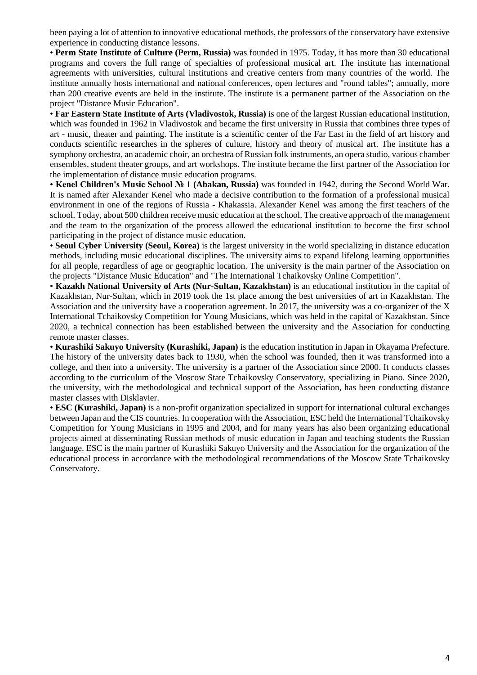been paying a lot of attention to innovative educational methods, the professors of the conservatory have extensive experience in conducting distance lessons.

• **Perm State Institute of Culture (Perm, Russia)** was founded in 1975. Today, it has more than 30 educational programs and covers the full range of specialties of professional musical art. The institute has international agreements with universities, cultural institutions and creative centers from many countries of the world. The institute annually hosts international and national conferences, open lectures and "round tables"; annually, more than 200 creative events are held in the institute. The institute is a permanent partner of the Association on the project "Distance Music Education".

• **Far Eastern State Institute of Arts (Vladivostok, Russia)** is one of the largest Russian educational institution, which was founded in 1962 in Vladivostok and became the first university in Russia that combines three types of art - music, theater and painting. The institute is a scientific center of the Far East in the field of art history and conducts scientific researches in the spheres of culture, history and theory of musical art. The institute has a symphony orchestra, an academic choir, an orchestra of Russian folk instruments, an opera studio, various chamber ensembles, student theater groups, and art workshops. The institute became the first partner of the Association for the implementation of distance music education programs.

• **Kenel Children's Music School № 1 (Abakan, Russia)** was founded in 1942, during the Second World War. It is named after Alexander Kenel who made a decisive contribution to the formation of a professional musical environment in one of the regions of Russia - Khakassia. Alexander Kenel was among the first teachers of the school. Today, about 500 children receive music education at the school. The creative approach of the management and the team to the organization of the process allowed the educational institution to become the first school participating in the project of distance music education.

• **Seoul Cyber University (Seoul, Korea)** is the largest university in the world specializing in distance education methods, including music educational disciplines. The university aims to expand lifelong learning opportunities for all people, regardless of age or geographic location. The university is the main partner of the Association on the projects "Distance Music Education" and "The International Tchaikovsky Online Competition".

• **Kazakh National University of Arts (Nur-Sultan, Kazakhstan)** is an educational institution in the capital of Kazakhstan, Nur-Sultan, which in 2019 took the 1st place among the best universities of art in Kazakhstan. The Association and the university have a cooperation agreement. In 2017, the university was a co-organizer of the X International Tchaikovsky Competition for Young Musicians, which was held in the capital of Kazakhstan. Since 2020, a technical connection has been established between the university and the Association for conducting remote master classes.

• **Kurashiki Sakuyo University (Kurashiki, Japan)** is the education institution in Japan in Okayama Prefecture. The history of the university dates back to 1930, when the school was founded, then it was transformed into a college, and then into a university. The university is a partner of the Association since 2000. It conducts classes according to the curriculum of the Moscow State Tchaikovsky Conservatory, specializing in Piano. Since 2020, the university, with the methodological and technical support of the Association, has been conducting distance master classes with Disklavier.

• **ESC (Kurashiki, Japan)** is a non-profit organization specialized in support for international cultural exchanges between Japan and the CIS countries. In cooperation with the Association, ESC held the International Tchaikovsky Competition for Young Musicians in 1995 and 2004, and for many years has also been organizing educational projects aimed at disseminating Russian methods of music education in Japan and teaching students the Russian language. ESC is the main partner of Kurashiki Sakuyo University and the Association for the organization of the educational process in accordance with the methodological recommendations of the Moscow State Tchaikovsky Conservatory.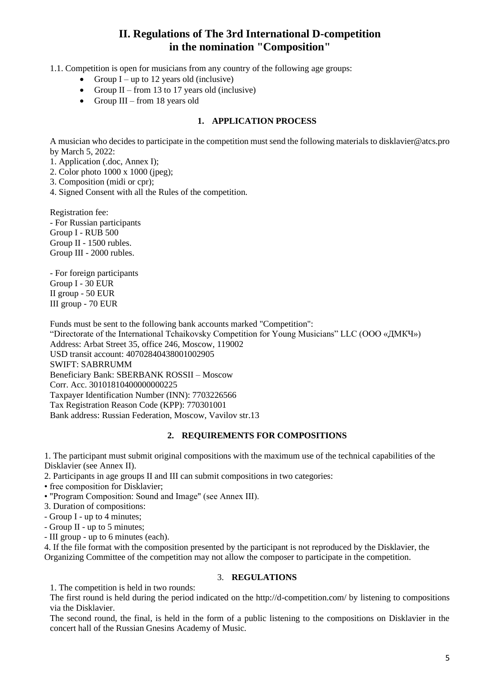#### **II. Regulations of The 3rd International D-competition in the nomination "Composition"**

1.1. Competition is open for musicians from any country of the following age groups:

- Group  $I up$  to 12 years old (inclusive)
- Group  $II$  from 13 to 17 years old (inclusive)
- Group III from 18 years old

#### **1. APPLICATION PROCESS**

A musician who decides to participate in the competition must send the following materials to disklavier@atcs.pro by March 5, 2022:

1. Application (.doc, Annex I);

- 2. Color photo 1000 x 1000 (jpeg);
- 3. Composition (midi or cpr);
- 4. Signed Consent with all the Rules of the competition.

Registration fee: - For Russian participants Group I - RUB 500 Group II - 1500 rubles. Group III - 2000 rubles.

- For foreign participants Group I - 30 EUR II group - 50 EUR III group - 70 EUR

Funds must be sent to the following bank accounts marked "Competition": "Directorate of the International Tchaikovsky Competition for Young Musicians" LLC (ООО «ДМКЧ») Address: Arbat Street 35, office 246, Moscow, 119002 USD transit account: 40702840438001002905 SWIFT: SABRRUMM Beneficiary Bank: SBERBANK ROSSII – Moscow Corr. Acc. 30101810400000000225 Taxpayer Identification Number (INN): 7703226566 Tax Registration Reason Code (KPP): 770301001 Bank address: Russian Federation, Moscow, Vavilov str.13

#### **2. REQUIREMENTS FOR COMPOSITIONS**

1. The participant must submit original compositions with the maximum use of the technical capabilities of the Disklavier (see Annex II).

2. Participants in age groups II and III can submit compositions in two categories:

• free composition for Disklavier;

- "Program Composition: Sound and Image" (see Annex III).
- 3. Duration of compositions:
- Group I up to 4 minutes;
- Group II up to 5 minutes;
- III group up to 6 minutes (each).

4. If the file format with the composition presented by the participant is not reproduced by the Disklavier, the Organizing Committee of the competition may not allow the composer to participate in the competition.

#### 3. **REGULATIONS**

1. The competition is held in two rounds:

The first round is held during the period indicated on the http://d-competition.com/ by listening to compositions via the Disklavier.

The second round, the final, is held in the form of a public listening to the compositions on Disklavier in the concert hall of the Russian Gnesins Academy of Music.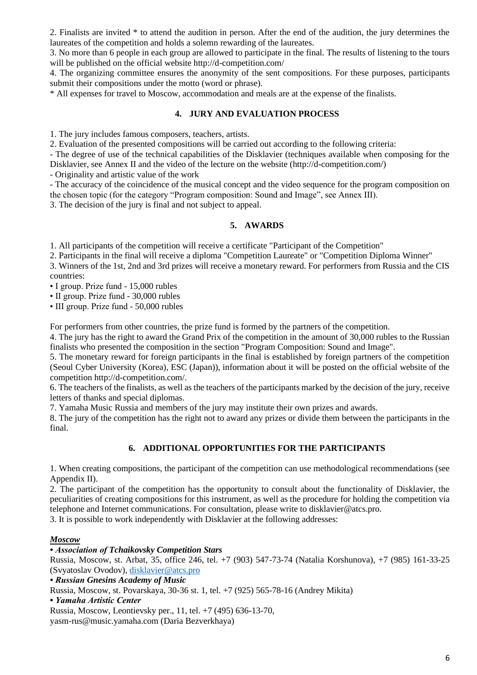2. Finalists are invited \* to attend the audition in person. After the end of the audition, the jury determines the laureates of the competition and holds a solemn rewarding of the laureates.

3. No more than 6 people in each group are allowed to participate in the final. The results of listening to the tours will be published on the official website http://d-competition.com/

4. The organizing committee ensures the anonymity of the sent compositions. For these purposes, participants submit their compositions under the motto (word or phrase).

\* All expenses for travel to Moscow, accommodation and meals are at the expense of the finalists.

#### **4. JURY AND EVALUATION PROCESS**

1. The jury includes famous composers, teachers, artists.

2. Evaluation of the presented compositions will be carried out according to the following criteria:

- The degree of use of the technical capabilities of the Disklavier (techniques available when composing for the Disklavier, see Annex II and the video of the lecture on the website (http://d-competition.com/)

- Originality and artistic value of the work

- The accuracy of the coincidence of the musical concept and the video sequence for the program composition on the chosen topic (for the category "Program composition: Sound and Image", see Annex III).

3. The decision of the jury is final and not subject to appeal.

#### **5. AWARDS**

1. All participants of the competition will receive a certificate "Participant of the Competition"

2. Participants in the final will receive a diploma "Competition Laureate" or "Competition Diploma Winner"

3. Winners of the 1st, 2nd and 3rd prizes will receive a monetary reward. For performers from Russia and the CIS countries:

• I group. Prize fund - 15,000 rubles

• II group. Prize fund - 30,000 rubles

• III group. Prize fund - 50,000 rubles

For performers from other countries, the prize fund is formed by the partners of the competition.

4. The jury has the right to award the Grand Prix of the competition in the amount of 30,000 rubles to the Russian finalists who presented the composition in the section "Program Composition: Sound and Image".

5. The monetary reward for foreign participants in the final is established by foreign partners of the competition (Seoul Cyber University (Korea), ESC (Japan)), information about it will be posted on the official website of the competition http://d-competition.com/.

6. The teachers of the finalists, as well as the teachers of the participants marked by the decision of the jury, receive letters of thanks and special diplomas.

7. Yamaha Music Russia and members of the jury may institute their own prizes and awards.

8. The jury of the competition has the right not to award any prizes or divide them between the participants in the final.

#### **6. ADDITIONAL OPPORTUNITIES FOR THE PARTICIPANTS**

1. When creating compositions, the participant of the competition can use methodological recommendations (see Appendix II).

2. The participant of the competition has the opportunity to consult about the functionality of Disklavier, the peculiarities of creating compositions for this instrument, as well as the procedure for holding the competition via telephone and Internet communications. For consultation, please write to disklavier@atcs.pro.

3. It is possible to work independently with Disklavier at the following addresses:

#### *Moscow*

*• Association of Tchaikovsky Competition Stars*

Russia, Moscow, st. Arbat, 35, office 246, tel. +7 (903) 547-73-74 (Natalia Korshunova), +7 (985) 161-33-25 (Svyatoslav Ovodov)[, disklavier@atcs.pro](mailto:disklavier@atcs.pro)

*• Russian Gnesins Academy of Music*

Russia, Moscow, st. Povarskaya, 30-36 st. 1, tel. +7 (925) 565-78-16 (Andrey Mikita)

#### *• Yamaha Artistic Center*

Russia, Moscow, Leontievsky per., 11, tel. +7 (495) 636-13-70,

yasm-rus@music.yamaha.com (Daria Bezverkhaya)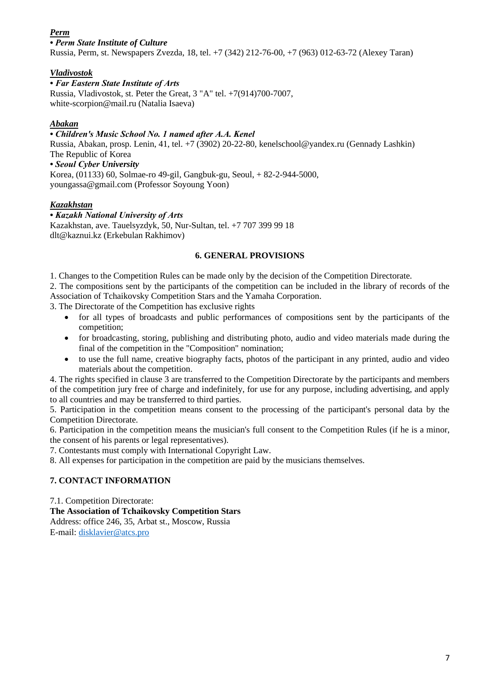#### *Perm*

#### *• Perm State Institute of Culture*

Russia, Perm, st. Newspapers Zvezda, 18, tel. +7 (342) 212-76-00, +7 (963) 012-63-72 (Alexey Taran)

#### *Vladivostok*

#### *• Far Eastern State Institute of Arts*

Russia, Vladivostok, st. Peter the Great, 3 "A" tel. +7(914)700-7007, white-scorpion@mail.ru (Natalia Isaeva)

#### *Abakan*

#### *• Children's Music School No. 1 named after A.A. Kenel*

Russia, Abakan, prosp. Lenin, 41, tel. +7 (3902) 20-22-80, kenelschool@yandex.ru (Gennady Lashkin) The Republic of Korea

#### *• Seoul Cyber University*

Korea, (01133) 60, Solmae-ro 49-gil, Gangbuk-gu, Seoul, + 82-2-944-5000, youngassa@gmail.com (Professor Soyoung Yoon)

#### *Kazakhstan*

#### *• Kazakh National University of Arts* Kazakhstan, ave. Tauelsyzdyk, 50, Nur-Sultan, tel. +7 707 399 99 18 dlt@kaznui.kz (Erkebulan Rakhimov)

#### **6. GENERAL PROVISIONS**

1. Changes to the Competition Rules can be made only by the decision of the Competition Directorate.

2. The compositions sent by the participants of the competition can be included in the library of records of the Association of Tchaikovsky Competition Stars and the Yamaha Corporation.

3. The Directorate of the Competition has exclusive rights

- for all types of broadcasts and public performances of compositions sent by the participants of the competition;
- for broadcasting, storing, publishing and distributing photo, audio and video materials made during the final of the competition in the "Composition" nomination;
- to use the full name, creative biography facts, photos of the participant in any printed, audio and video materials about the competition.

4. The rights specified in clause 3 are transferred to the Competition Directorate by the participants and members of the competition jury free of charge and indefinitely, for use for any purpose, including advertising, and apply to all countries and may be transferred to third parties.

5. Participation in the competition means consent to the processing of the participant's personal data by the Competition Directorate.

6. Participation in the competition means the musician's full consent to the Competition Rules (if he is a minor, the consent of his parents or legal representatives).

7. Contestants must comply with International Copyright Law.

8. All expenses for participation in the competition are paid by the musicians themselves.

#### **7. CONTACT INFORMATION**

7.1. Competition Directorate:

#### **The Association of Tchaikovsky Competition Stars**

Address: office 246, 35, Arbat st., Moscow, Russia E-mail: [disklavier@atcs.pro](mailto:disklavier@atcs.pro)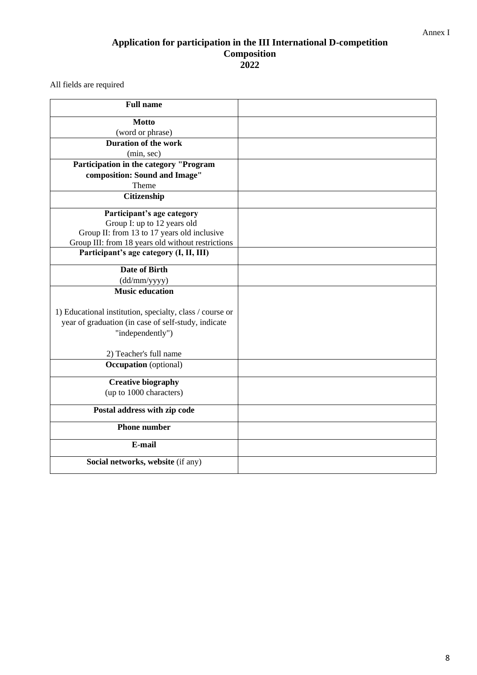#### Annex I

#### **Application for participation in the III International D-competition Composition 2022**

All fields are required

| <b>Full name</b>                                                                                 |  |
|--------------------------------------------------------------------------------------------------|--|
| <b>Motto</b>                                                                                     |  |
| (word or phrase)                                                                                 |  |
| <b>Duration of the work</b>                                                                      |  |
| (min, sec)                                                                                       |  |
| Participation in the category "Program                                                           |  |
| composition: Sound and Image"                                                                    |  |
| Theme                                                                                            |  |
| Citizenship                                                                                      |  |
| Participant's age category                                                                       |  |
| Group I: up to 12 years old                                                                      |  |
| Group II: from 13 to 17 years old inclusive<br>Group III: from 18 years old without restrictions |  |
| Participant's age category (I, II, III)                                                          |  |
|                                                                                                  |  |
| Date of Birth                                                                                    |  |
| (dd/mm/yyyy)                                                                                     |  |
| <b>Music education</b>                                                                           |  |
|                                                                                                  |  |
| 1) Educational institution, specialty, class / course or                                         |  |
| year of graduation (in case of self-study, indicate                                              |  |
| "independently")                                                                                 |  |
| 2) Teacher's full name                                                                           |  |
| <b>Occupation</b> (optional)                                                                     |  |
| <b>Creative biography</b>                                                                        |  |
| (up to 1000 characters)                                                                          |  |
| Postal address with zip code                                                                     |  |
| <b>Phone number</b>                                                                              |  |
| E-mail                                                                                           |  |
| Social networks, website (if any)                                                                |  |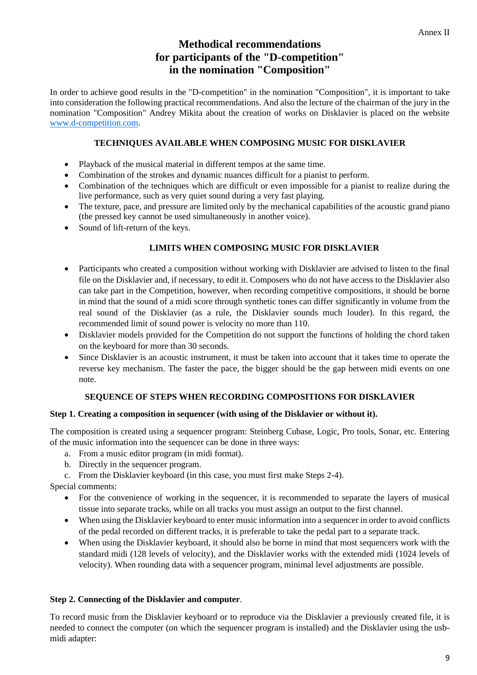#### **Methodical recommendations for participants of the "D-competition" in the nomination "Composition"**

In order to achieve good results in the "D-competition" in the nomination "Composition", it is important to take into consideration the following practical recommendations. And also the lecture of the chairman of the jury in the nomination "Composition" Andrey Mikita about the creation of works on Disklavier is placed on the website [www.d-competition.com.](http://www.d-competition.com/)

#### **TECHNIQUES AVAILABLE WHEN COMPOSING MUSIC FOR DISKLAVIER**

- Playback of the musical material in different tempos at the same time.
- Combination of the strokes and dynamic nuances difficult for a pianist to perform.
- Combination of the techniques which are difficult or even impossible for a pianist to realize during the live performance, such as very quiet sound during a very fast playing.
- The texture, pace, and pressure are limited only by the mechanical capabilities of the acoustic grand piano (the pressed key cannot be used simultaneously in another voice).
- Sound of lift-return of the keys.

#### **LIMITS WHEN COMPOSING MUSIC FOR DISKLAVIER**

- Participants who created a composition without working with Disklavier are advised to listen to the final file on the Disklavier and, if necessary, to edit it. Composers who do not have access to the Disklavier also can take part in the Competition, however, when recording competitive compositions, it should be borne in mind that the sound of a midi score through synthetic tones can differ significantly in volume from the real sound of the Disklavier (as a rule, the Disklavier sounds much louder). In this regard, the recommended limit of sound power is velocity no more than 110.
- Disklavier models provided for the Competition do not support the functions of holding the chord taken on the keyboard for more than 30 seconds.
- Since Disklavier is an acoustic instrument, it must be taken into account that it takes time to operate the reverse key mechanism. The faster the pace, the bigger should be the gap between midi events on one note.

#### **SEQUENCE OF STEPS WHEN RECORDING COMPOSITIONS FOR DISKLAVIER**

#### **Step 1. Creating a composition in sequencer (with using of the Disklavier or without it).**

The composition is created using a sequencer program: Steinberg Cubase, Logic, Pro tools, Sonar, etc. Entering of the music information into the sequencer can be done in three ways:

- a. From a music editor program (in midi format).
- b. Directly in the sequencer program.
- c. From the Disklavier keyboard (in this case, you must first make Steps 2-4).

Special comments:

- For the convenience of working in the sequencer, it is recommended to separate the layers of musical tissue into separate tracks, while on all tracks you must assign an output to the first channel.
- When using the Disklavier keyboard to enter music information into a sequencer in order to avoid conflicts of the pedal recorded on different tracks, it is preferable to take the pedal part to a separate track.
- When using the Disklavier keyboard, it should also be borne in mind that most sequencers work with the standard midi (128 levels of velocity), and the Disklavier works with the extended midi (1024 levels of velocity). When rounding data with a sequencer program, minimal level adjustments are possible.

#### **Step 2. Connecting of the Disklavier and computer**.

To record music from the Disklavier keyboard or to reproduce via the Disklavier a previously created file, it is needed to connect the computer (on which the sequencer program is installed) and the Disklavier using the usbmidi adapter: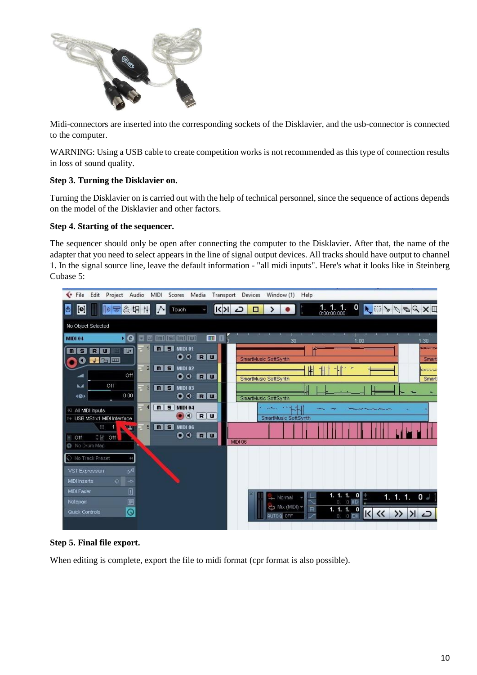

Midi-connectors are inserted into the corresponding sockets of the Disklavier, and the usb-connector is connected to the computer.

WARNING: Using a USB cable to create competition works is not recommended as this type of connection results in loss of sound quality.

#### **Step 3. Turning the Disklavier on.**

Turning the Disklavier on is carried out with the help of technical personnel, since the sequence of actions depends on the model of the Disklavier and other factors.

#### **Step 4. Starting of the sequencer.**

The sequencer should only be open after connecting the computer to the Disklavier. After that, the name of the adapter that you need to select appears in the line of signal output devices. All tracks should have output to channel 1. In the signal source line, leave the default information - "all midi inputs". Here's what it looks like in Steinberg Cubase 5:



#### **Step 5. Final file export.**

When editing is complete, export the file to midi format (cpr format is also possible).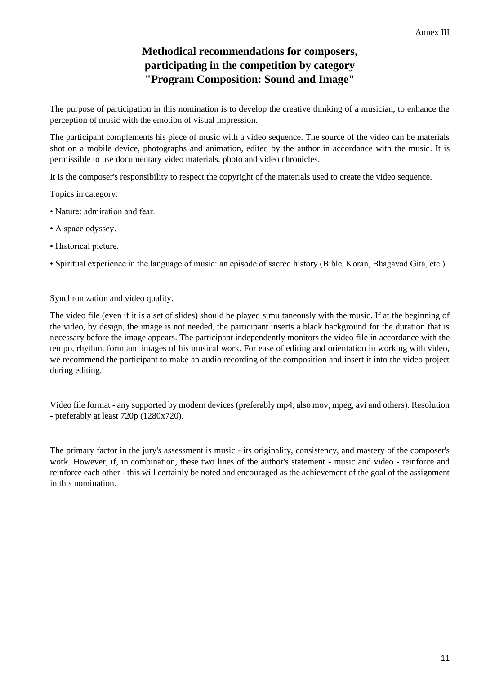#### **Methodical recommendations for composers, participating in the competition by category "Program Composition: Sound and Image"**

The purpose of participation in this nomination is to develop the creative thinking of a musician, to enhance the perception of music with the emotion of visual impression.

The participant complements his piece of music with a video sequence. The source of the video can be materials shot on a mobile device, photographs and animation, edited by the author in accordance with the music. It is permissible to use documentary video materials, photo and video chronicles.

It is the composer's responsibility to respect the copyright of the materials used to create the video sequence.

Topics in category:

- Nature: admiration and fear.
- A space odyssey.
- Historical picture.
- Spiritual experience in the language of music: an episode of sacred history (Bible, Koran, Bhagavad Gita, etc.)

Synchronization and video quality.

The video file (even if it is a set of slides) should be played simultaneously with the music. If at the beginning of the video, by design, the image is not needed, the participant inserts a black background for the duration that is necessary before the image appears. The participant independently monitors the video file in accordance with the tempo, rhythm, form and images of his musical work. For ease of editing and orientation in working with video, we recommend the participant to make an audio recording of the composition and insert it into the video project during editing.

Video file format - any supported by modern devices (preferably mp4, also mov, mpeg, avi and others). Resolution - preferably at least 720p (1280x720).

The primary factor in the jury's assessment is music - its originality, consistency, and mastery of the composer's work. However, if, in combination, these two lines of the author's statement - music and video - reinforce and reinforce each other - this will certainly be noted and encouraged as the achievement of the goal of the assignment in this nomination.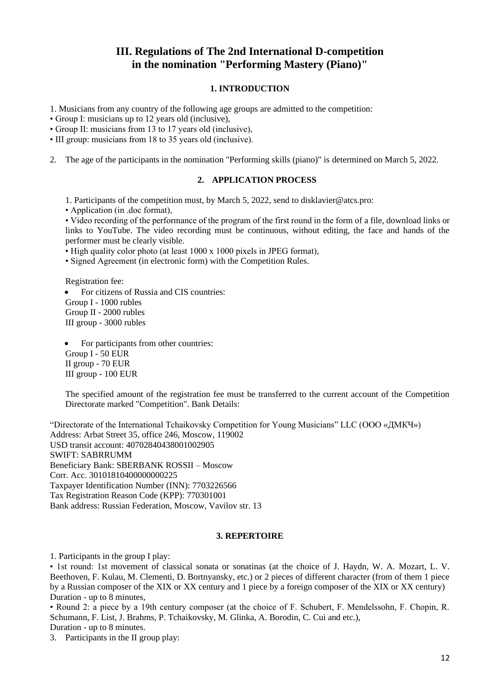#### **III. Regulations of The 2nd International D-competition in the nomination "Performing Mastery (Piano)"**

#### **1. INTRODUCTION**

1. Musicians from any country of the following age groups are admitted to the competition:

• Group I: musicians up to 12 years old (inclusive),

• Group II: musicians from 13 to 17 years old (inclusive),

• III group: musicians from 18 to 35 years old (inclusive).

2. The age of the participants in the nomination "Performing skills (piano)" is determined on March 5, 2022.

#### **2. APPLICATION PROCESS**

1. Participants of the competition must, by March 5, 2022, send to disklavier@atcs.pro:

• Application (in .doc format),

• Video recording of the performance of the program of the first round in the form of a file, download links or links to YouTube. The video recording must be continuous, without editing, the face and hands of the performer must be clearly visible.

• High quality color photo (at least  $1000 \times 1000$  pixels in JPEG format).

• Signed Agreement (in electronic form) with the Competition Rules.

Registration fee:

• For citizens of Russia and CIS countries: Group I - 1000 rubles Group II - 2000 rubles III group - 3000 rubles

For participants from other countries: Group I - 50 EUR II group - 70 EUR III group - 100 EUR

The specified amount of the registration fee must be transferred to the current account of the Competition Directorate marked "Competition". Bank Details:

"Directorate of the International Tchaikovsky Competition for Young Musicians" LLC (ООО «ДМКЧ») Address: Arbat Street 35, office 246, Moscow, 119002 USD transit account: 40702840438001002905 SWIFT: SABRRUMM Beneficiary Bank: SBERBANK ROSSII – Moscow Corr. Acc. 30101810400000000225 Taxpayer Identification Number (INN): 7703226566 Tax Registration Reason Code (KPP): 770301001 Bank address: Russian Federation, Moscow, Vavilov str. 13

#### **3. REPERTOIRE**

1. Participants in the group I play:

• 1st round: 1st movement of classical sonata or sonatinas (at the choice of J. Haydn, W. A. Mozart, L. V. Beethoven, F. Kulau, M. Clementi, D. Bortnyansky, etc.) or 2 pieces of different character (from of them 1 piece by a Russian composer of the XIX or XX century and 1 piece by a foreign composer of the XIX or XX century) Duration - up to 8 minutes,

• Round 2: a piece by a 19th century composer (at the choice of F. Schubert, F. Mendelssohn, F. Chopin, R. Schumann, F. List, J. Brahms, P. Tchaikovsky, M. Glinka, A. Borodin, C. Cui and etc.),

Duration - up to 8 minutes.

3. Participants in the II group play: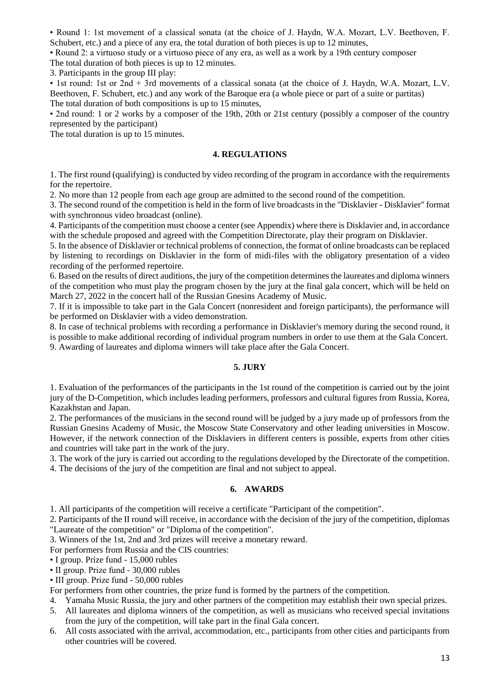• Round 1: 1st movement of a classical sonata (at the choice of J. Haydn, W.A. Mozart, L.V. Beethoven, F. Schubert, etc.) and a piece of any era, the total duration of both pieces is up to 12 minutes,

• Round 2: a virtuoso study or a virtuoso piece of any era, as well as a work by a 19th century composer

The total duration of both pieces is up to 12 minutes.

3. Participants in the group III play:

• 1st round: 1st or 2nd + 3rd movements of a classical sonata (at the choice of J. Haydn, W.A. Mozart, L.V. Beethoven, F. Schubert, etc.) and any work of the Baroque era (a whole piece or part of a suite or partitas) The total duration of both compositions is up to 15 minutes,

• 2nd round: 1 or 2 works by a composer of the 19th, 20th or 21st century (possibly a composer of the country represented by the participant)

The total duration is up to 15 minutes.

#### **4. REGULATIONS**

1. The first round (qualifying) is conducted by video recording of the program in accordance with the requirements for the repertoire.

2. No more than 12 people from each age group are admitted to the second round of the competition.

3. The second round of the competition is held in the form of live broadcasts in the "Disklavier - Disklavier" format with synchronous video broadcast (online).

4. Participants of the competition must choose a center (see Appendix) where there is Disklavier and, in accordance with the schedule proposed and agreed with the Competition Directorate, play their program on Disklavier.

5. In the absence of Disklavier or technical problems of connection, the format of online broadcasts can be replaced by listening to recordings on Disklavier in the form of midi-files with the obligatory presentation of a video recording of the performed repertoire.

6. Based on the results of direct auditions, the jury of the competition determines the laureates and diploma winners of the competition who must play the program chosen by the jury at the final gala concert, which will be held on March 27, 2022 in the concert hall of the Russian Gnesins Academy of Music.

7. If it is impossible to take part in the Gala Concert (nonresident and foreign participants), the performance will be performed on Disklavier with a video demonstration.

8. In case of technical problems with recording a performance in Disklavier's memory during the second round, it

is possible to make additional recording of individual program numbers in order to use them at the Gala Concert. 9. Awarding of laureates and diploma winners will take place after the Gala Concert.

#### **5. JURY**

1. Evaluation of the performances of the participants in the 1st round of the competition is carried out by the joint jury of the D-Competition, which includes leading performers, professors and cultural figures from Russia, Korea, Kazakhstan and Japan.

2. The performances of the musicians in the second round will be judged by a jury made up of professors from the Russian Gnesins Academy of Music, the Moscow State Conservatory and other leading universities in Moscow. However, if the network connection of the Disklaviers in different centers is possible, experts from other cities and countries will take part in the work of the jury.

3. The work of the jury is carried out according to the regulations developed by the Directorate of the competition.

4. The decisions of the jury of the competition are final and not subject to appeal.

#### **6. AWARDS**

1. All participants of the competition will receive a certificate "Participant of the competition".

2. Participants of the II round will receive, in accordance with the decision of the jury of the competition, diplomas "Laureate of the competition" or "Diploma of the competition".

3. Winners of the 1st, 2nd and 3rd prizes will receive a monetary reward.

For performers from Russia and the CIS countries:

• I group. Prize fund - 15,000 rubles

• II group. Prize fund - 30,000 rubles

• III group. Prize fund - 50,000 rubles

For performers from other countries, the prize fund is formed by the partners of the competition.

- 4. Yamaha Music Russia, the jury and other partners of the competition may establish their own special prizes.
- 5. All laureates and diploma winners of the competition, as well as musicians who received special invitations from the jury of the competition, will take part in the final Gala concert.
- 6. All costs associated with the arrival, accommodation, etc., participants from other cities and participants from other countries will be covered.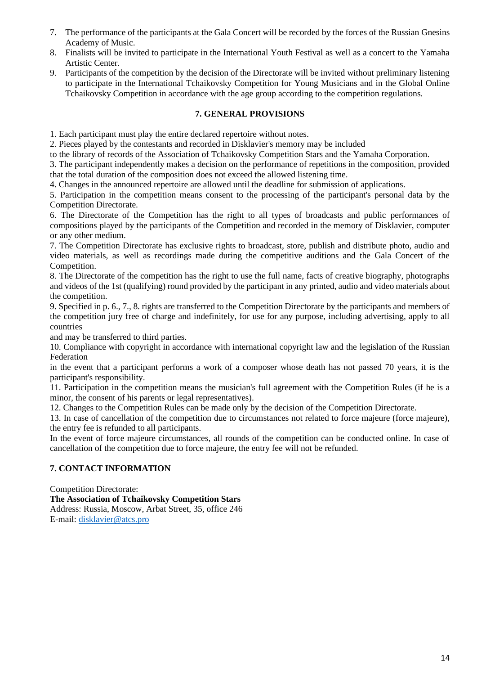- 7. The performance of the participants at the Gala Concert will be recorded by the forces of the Russian Gnesins Academy of Music.
- 8. Finalists will be invited to participate in the International Youth Festival as well as a concert to the Yamaha Artistic Center.
- 9. Participants of the competition by the decision of the Directorate will be invited without preliminary listening to participate in the International Tchaikovsky Competition for Young Musicians and in the Global Online Tchaikovsky Competition in accordance with the age group according to the competition regulations.

#### **7. GENERAL PROVISIONS**

1. Each participant must play the entire declared repertoire without notes.

2. Pieces played by the contestants and recorded in Disklavier's memory may be included

to the library of records of the Association of Tchaikovsky Competition Stars and the Yamaha Corporation.

3. The participant independently makes a decision on the performance of repetitions in the composition, provided that the total duration of the composition does not exceed the allowed listening time.

4. Changes in the announced repertoire are allowed until the deadline for submission of applications.

5. Participation in the competition means consent to the processing of the participant's personal data by the Competition Directorate.

6. The Directorate of the Competition has the right to all types of broadcasts and public performances of compositions played by the participants of the Competition and recorded in the memory of Disklavier, computer or any other medium.

7. The Competition Directorate has exclusive rights to broadcast, store, publish and distribute photo, audio and video materials, as well as recordings made during the competitive auditions and the Gala Concert of the Competition.

8. The Directorate of the competition has the right to use the full name, facts of creative biography, photographs and videos of the 1st (qualifying) round provided by the participant in any printed, audio and video materials about the competition.

9. Specified in p. 6., 7., 8. rights are transferred to the Competition Directorate by the participants and members of the competition jury free of charge and indefinitely, for use for any purpose, including advertising, apply to all countries

and may be transferred to third parties.

10. Compliance with copyright in accordance with international copyright law and the legislation of the Russian Federation

in the event that a participant performs a work of a composer whose death has not passed 70 years, it is the participant's responsibility.

11. Participation in the competition means the musician's full agreement with the Competition Rules (if he is a minor, the consent of his parents or legal representatives).

12. Changes to the Competition Rules can be made only by the decision of the Competition Directorate.

13. In case of cancellation of the competition due to circumstances not related to force majeure (force majeure), the entry fee is refunded to all participants.

In the event of force majeure circumstances, all rounds of the competition can be conducted online. In case of cancellation of the competition due to force majeure, the entry fee will not be refunded.

#### **7. CONTACT INFORMATION**

Competition Directorate:

**The Association of Tchaikovsky Competition Stars**

Address: Russia, Moscow, Arbat Street, 35, office 246 E-mail: [disklavier@atcs.pro](mailto:disklavier@atcs.pro)